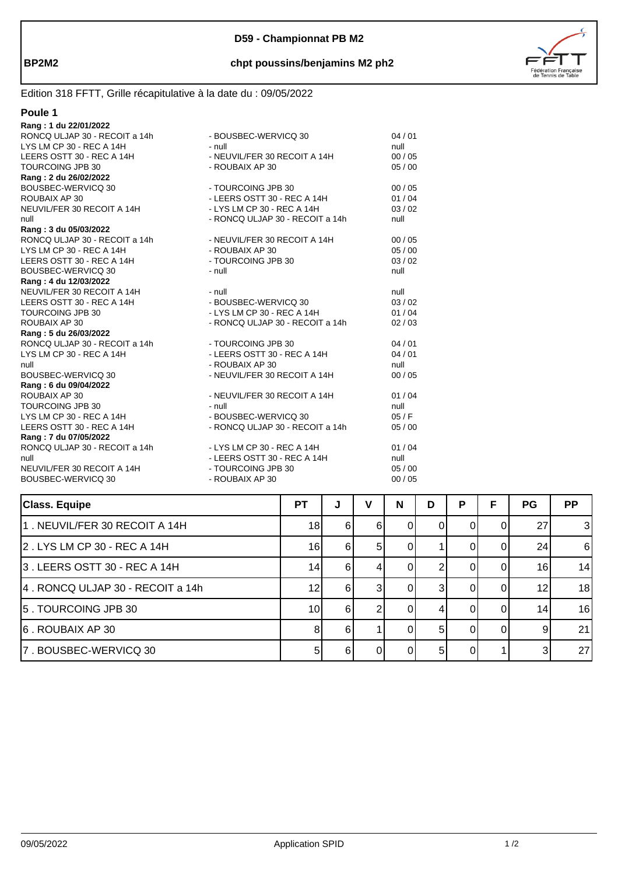

# **BP2M2 chpt poussins/benjamins M2 ph2**

# Edition 318 FFTT, Grille récapitulative à la date du : 09/05/2022

| I<br>11 |
|---------|
|---------|

| Rang: 1 du 22/01/2022                                    |                                 |       |
|----------------------------------------------------------|---------------------------------|-------|
|                                                          |                                 | 04/01 |
| LYS LM CP 30 - REC A 14H                                 | $-$ null                        | null  |
| LEERS OSTT 30 - REC A 14H                                | - NEUVIL/FER 30 RECOIT A 14H    | 00/05 |
| TOURCOING JPB 30                                         | - ROUBAIX AP 30                 | 05/00 |
| Rang: 2 du 26/02/2022                                    |                                 |       |
| BOUSBEC-WERVICQ 30                                       | - TOURCOING JPB 30              | 00/05 |
| ROUBAIX AP 30                                            | - LEERS OSTT 30 - REC A 14H     | 01/04 |
| NEUVIL/FER 30 RECOIT A 14H                               | - LYS LM CP 30 - REC A 14H      | 03/02 |
| null                                                     | - RONCQ ULJAP 30 - RECOIT a 14h | null  |
| Rang: 3 du 05/03/2022                                    |                                 |       |
| RONCQ ULJAP 30 - RECOIT a 14h                            | - NEUVIL/FER 30 RECOIT A 14H    | 00/05 |
| LYS LM CP 30 - REC A 14H                                 | - ROUBAIX AP 30                 | 05/00 |
| LEERS OSTT 30 - REC A 14H                                | - TOURCOING JPB 30              | 03/02 |
| BOUSBEC-WERVICQ 30                                       | - null                          | null  |
| Rang: 4 du 12/03/2022                                    |                                 |       |
| NEUVIL/FER 30 RECOIT A 14H                               | $-$ null                        | null  |
| LEERS OSTT 30 - REC A 14H                                | - BOUSBEC-WERVICQ 30            | 03/02 |
| TOURCOING JPB 30                                         | - LYS LM CP 30 - REC A 14H      | 01/04 |
| ROUBAIX AP 30                                            | - RONCQ ULJAP 30 - RECOIT a 14h | 02/03 |
| Rang: 5 du 26/03/2022                                    |                                 |       |
| RONCQ ULJAP 30 - RECOIT a 14h                            | - TOURCOING JPB 30              | 04/01 |
| LYS LM CP 30 - REC A 14H                                 | - LEERS OSTT 30 - REC A 14H     | 04/01 |
| null                                                     | - ROUBAIX AP 30                 | null  |
| BOUSBEC-WERVICQ 30                                       | - NEUVIL/FER 30 RECOIT A 14H    | 00/05 |
| Rang: 6 du 09/04/2022                                    |                                 |       |
| ROUBAIX AP 30                                            | - NEUVIL/FER 30 RECOIT A 14H    | 01/04 |
| TOURCOING JPB 30                                         | - null                          | null  |
| LYS LM CP 30 - REC A 14H                                 | - BOUSBEC-WERVICQ 30            | 05/F  |
| LEERS OSTT 30 - REC A 14H                                | - RONCQ ULJAP 30 - RECOIT a 14h | 05/00 |
| Rang: 7 du 07/05/2022                                    |                                 |       |
| RONCQ ULJAP 30 - RECOIT a 14h - LYS LM CP 30 - REC A 14H |                                 | 01/04 |
| null                                                     | - LEERS OSTT 30 - REC A 14H     | null  |
| NEUVIL/FER 30 RECOIT A 14H                               | - TOURCOING JPB 30              | 05/00 |
| BOUSBEC-WERVICQ 30                                       | - ROUBAIX AP 30                 | 00/05 |
|                                                          |                                 |       |

| <b>Class. Equipe</b>             | <b>PT</b> | J  | v  | N | D  | P        | F | <b>PG</b> | <b>PP</b> |
|----------------------------------|-----------|----|----|---|----|----------|---|-----------|-----------|
| 11 . NEUVIL/FER 30 RECOIT A 14H  | 18        | 61 | 6  |   |    |          |   | 27        | 3         |
| 2. LYS LM CP 30 - REC A 14H      | 16        | 61 | 51 |   |    |          |   | 24        | 6         |
| 3. LEERS OSTT 30 - REC A 14H     | 14        | 61 |    |   |    |          |   | 16        | 14        |
| 4. RONCQ ULJAP 30 - RECOIT a 14h | 12        | 61 |    |   |    |          |   | 12        | 18        |
| 15. TOURCOING JPB 30             | 10        | 61 |    |   |    | $\Omega$ |   | 14        | 16        |
| 6. ROUBAIX AP 30                 | 8         | 61 |    |   | 51 |          |   | 9         | 21        |
| 7. BOUSBEC-WERVICQ 30            |           | 6  |    |   |    |          |   |           | 27        |